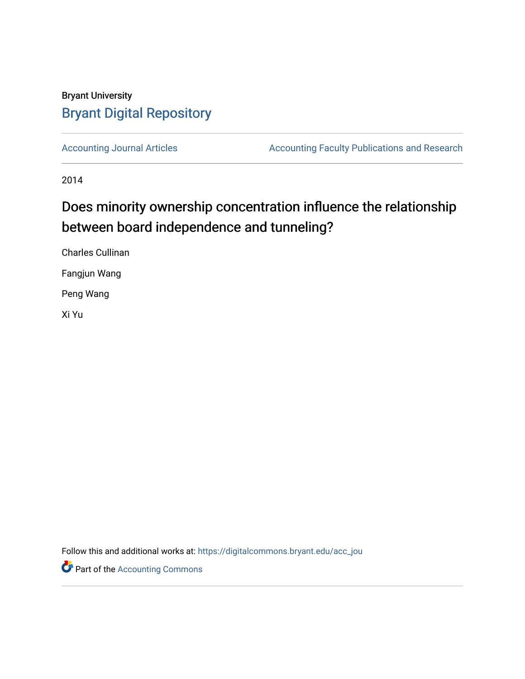# Bryant University [Bryant Digital Repository](https://digitalcommons.bryant.edu/)

[Accounting Journal Articles](https://digitalcommons.bryant.edu/acc_jou) **Accounting Faculty Publications and Research** 

2014

# Does minority ownership concentration influence the relationship between board independence and tunneling?

Charles Cullinan Fangjun Wang

Peng Wang

Xi Yu

Follow this and additional works at: [https://digitalcommons.bryant.edu/acc\\_jou](https://digitalcommons.bryant.edu/acc_jou?utm_source=digitalcommons.bryant.edu%2Facc_jou%2F147&utm_medium=PDF&utm_campaign=PDFCoverPages)

**Part of the [Accounting Commons](http://network.bepress.com/hgg/discipline/625?utm_source=digitalcommons.bryant.edu%2Facc_jou%2F147&utm_medium=PDF&utm_campaign=PDFCoverPages)**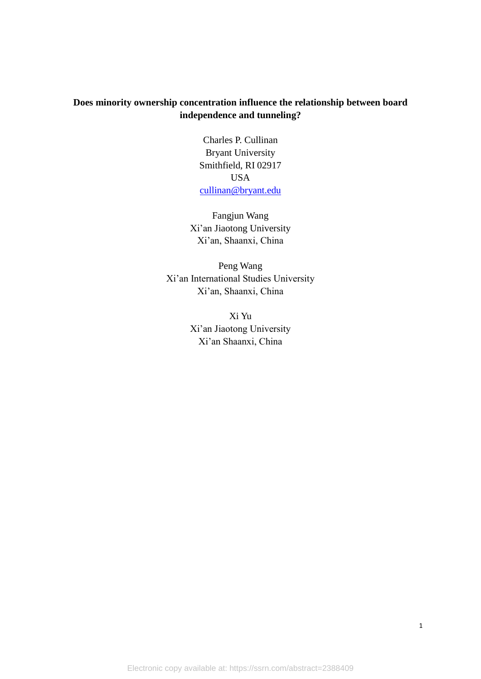# **Does minority ownership concentration influence the relationship between board independence and tunneling?**

Charles P. Cullinan Bryant University Smithfield, RI 02917 USA [cullinan@bryant.edu](mailto:cullinan@bryant.edu)

Fangjun Wang Xi'an Jiaotong University Xi'an, Shaanxi, China

Peng Wang Xi'an International Studies University Xi'an, Shaanxi, China

> Xi Yu Xi'an Jiaotong University Xi'an Shaanxi, China

Electronic copy available at: https://ssrn.com/abstract=2388409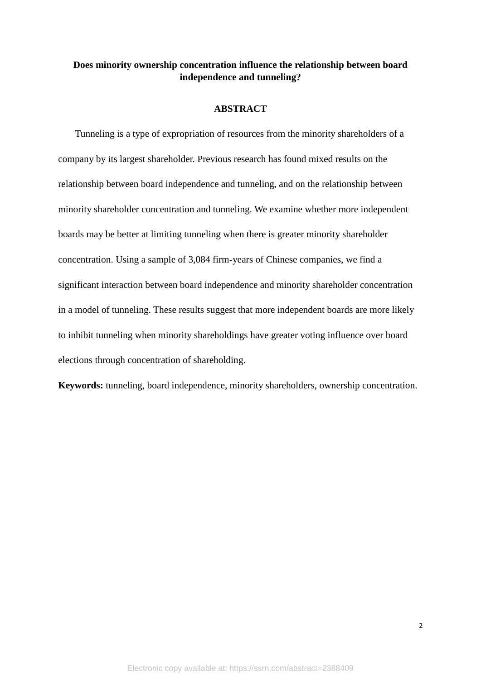# **Does minority ownership concentration influence the relationship between board independence and tunneling?**

#### **ABSTRACT**

Tunneling is a type of expropriation of resources from the minority shareholders of a company by its largest shareholder. Previous research has found mixed results on the relationship between board independence and tunneling, and on the relationship between minority shareholder concentration and tunneling. We examine whether more independent boards may be better at limiting tunneling when there is greater minority shareholder concentration. Using a sample of 3,084 firm-years of Chinese companies, we find a significant interaction between board independence and minority shareholder concentration in a model of tunneling. These results suggest that more independent boards are more likely to inhibit tunneling when minority shareholdings have greater voting influence over board elections through concentration of shareholding.

**Keywords:** tunneling, board independence, minority shareholders, ownership concentration.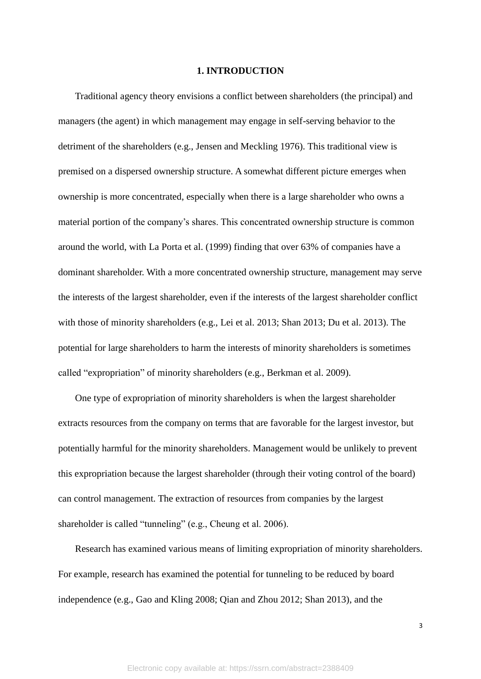#### **1. INTRODUCTION**

Traditional agency theory envisions a conflict between shareholders (the principal) and managers (the agent) in which management may engage in self-serving behavior to the detriment of the shareholders (e.g., Jensen and Meckling 1976). This traditional view is premised on a dispersed ownership structure. A somewhat different picture emerges when ownership is more concentrated, especially when there is a large shareholder who owns a material portion of the company's shares. This concentrated ownership structure is common around the world, with La Porta et al. (1999) finding that over 63% of companies have a dominant shareholder. With a more concentrated ownership structure, management may serve the interests of the largest shareholder, even if the interests of the largest shareholder conflict with those of minority shareholders (e.g., Lei et al. 2013; Shan 2013; Du et al. 2013). The potential for large shareholders to harm the interests of minority shareholders is sometimes called "expropriation" of minority shareholders (e.g., Berkman et al. 2009).

One type of expropriation of minority shareholders is when the largest shareholder extracts resources from the company on terms that are favorable for the largest investor, but potentially harmful for the minority shareholders. Management would be unlikely to prevent this expropriation because the largest shareholder (through their voting control of the board) can control management. The extraction of resources from companies by the largest shareholder is called "tunneling" (e.g., Cheung et al. 2006).

Research has examined various means of limiting expropriation of minority shareholders. For example, research has examined the potential for tunneling to be reduced by board independence (e.g., Gao and Kling 2008; Qian and Zhou 2012; Shan 2013), and the

3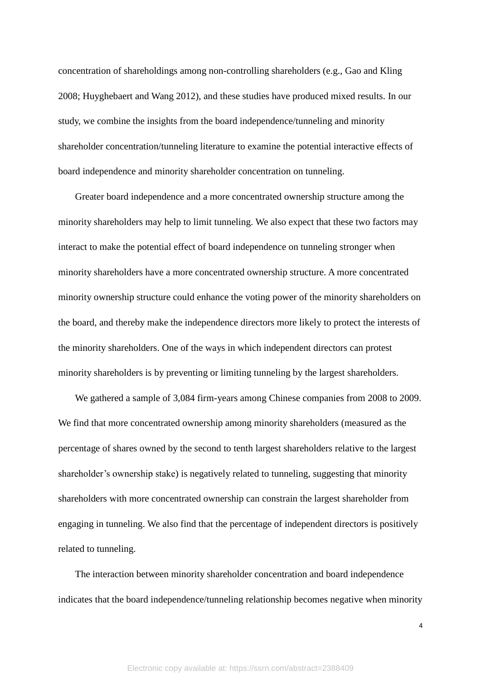concentration of shareholdings among non-controlling shareholders (e.g., Gao and Kling 2008; Huyghebaert and Wang 2012), and these studies have produced mixed results. In our study, we combine the insights from the board independence/tunneling and minority shareholder concentration/tunneling literature to examine the potential interactive effects of board independence and minority shareholder concentration on tunneling.

Greater board independence and a more concentrated ownership structure among the minority shareholders may help to limit tunneling. We also expect that these two factors may interact to make the potential effect of board independence on tunneling stronger when minority shareholders have a more concentrated ownership structure. A more concentrated minority ownership structure could enhance the voting power of the minority shareholders on the board, and thereby make the independence directors more likely to protect the interests of the minority shareholders. One of the ways in which independent directors can protest minority shareholders is by preventing or limiting tunneling by the largest shareholders.

We gathered a sample of 3,084 firm-years among Chinese companies from 2008 to 2009. We find that more concentrated ownership among minority shareholders (measured as the percentage of shares owned by the second to tenth largest shareholders relative to the largest shareholder's ownership stake) is negatively related to tunneling, suggesting that minority shareholders with more concentrated ownership can constrain the largest shareholder from engaging in tunneling. We also find that the percentage of independent directors is positively related to tunneling.

The interaction between minority shareholder concentration and board independence indicates that the board independence/tunneling relationship becomes negative when minority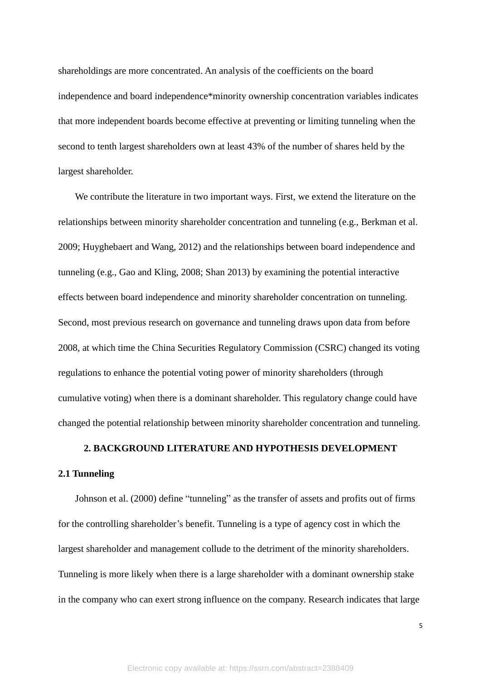shareholdings are more concentrated. An analysis of the coefficients on the board independence and board independence\*minority ownership concentration variables indicates that more independent boards become effective at preventing or limiting tunneling when the second to tenth largest shareholders own at least 43% of the number of shares held by the largest shareholder.

We contribute the literature in two important ways. First, we extend the literature on the relationships between minority shareholder concentration and tunneling (e.g., Berkman et al. 2009; Huyghebaert and Wang, 2012) and the relationships between board independence and tunneling (e.g., Gao and Kling, 2008; Shan 2013) by examining the potential interactive effects between board independence and minority shareholder concentration on tunneling. Second, most previous research on governance and tunneling draws upon data from before 2008, at which time the China Securities Regulatory Commission (CSRC) changed its voting regulations to enhance the potential voting power of minority shareholders (through cumulative voting) when there is a dominant shareholder. This regulatory change could have changed the potential relationship between minority shareholder concentration and tunneling.

#### **2. BACKGROUND LITERATURE AND HYPOTHESIS DEVELOPMENT**

#### **2.1 Tunneling**

Johnson et al. (2000) define "tunneling" as the transfer of assets and profits out of firms for the controlling shareholder's benefit. Tunneling is a type of agency cost in which the largest shareholder and management collude to the detriment of the minority shareholders. Tunneling is more likely when there is a large shareholder with a dominant ownership stake in the company who can exert strong influence on the company. Research indicates that large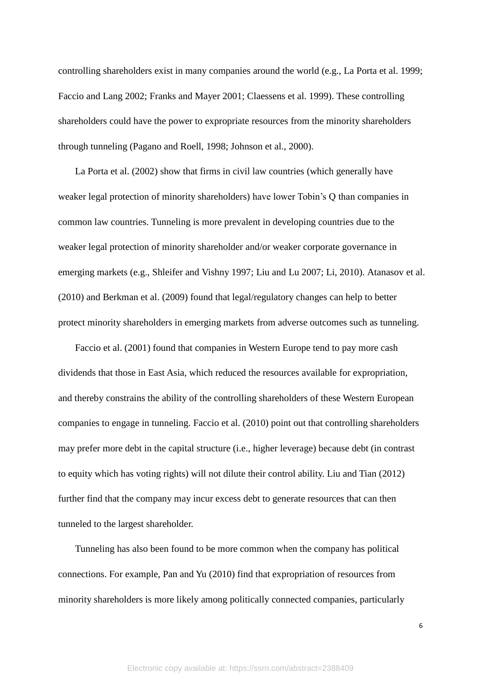controlling shareholders exist in many companies around the world (e.g., La Porta et al. 1999; Faccio and Lang 2002; Franks and Mayer 2001; Claessens et al. 1999). These controlling shareholders could have the power to expropriate resources from the minority shareholders through tunneling (Pagano and Roell, 1998; Johnson et al., 2000).

La Porta et al. (2002) show that firms in civil law countries (which generally have weaker legal protection of minority shareholders) have lower Tobin's Q than companies in common law countries. Tunneling is more prevalent in developing countries due to the weaker legal protection of minority shareholder and/or weaker corporate governance in emerging markets (e.g., Shleifer and Vishny 1997; Liu and Lu 2007; Li, 2010). Atanasov et al. (2010) and Berkman et al. (2009) found that legal/regulatory changes can help to better protect minority shareholders in emerging markets from adverse outcomes such as tunneling.

Faccio et al. (2001) found that companies in Western Europe tend to pay more cash dividends that those in East Asia, which reduced the resources available for expropriation, and thereby constrains the ability of the controlling shareholders of these Western European companies to engage in tunneling. Faccio et al. (2010) point out that controlling shareholders may prefer more debt in the capital structure (i.e., higher leverage) because debt (in contrast to equity which has voting rights) will not dilute their control ability. Liu and Tian (2012) further find that the company may incur excess debt to generate resources that can then tunneled to the largest shareholder.

Tunneling has also been found to be more common when the company has political connections. For example, Pan and Yu (2010) find that expropriation of resources from minority shareholders is more likely among politically connected companies, particularly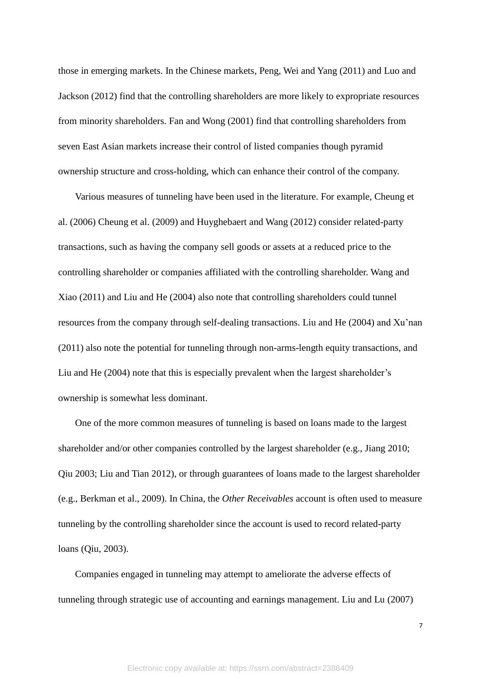those in emerging markets. In the Chinese markets, Peng, Wei and Yang (2011) and Luo and Jackson (2012) find that the controlling shareholders are more likely to expropriate resources from minority shareholders. Fan and Wong (2001) find that controlling shareholders from seven East Asian markets increase their control of listed companies though pyramid ownership structure and cross-holding, which can enhance their control of the company.

Various measures of tunneling have been used in the literature. For example, Cheung et al. (2006) Cheung et al. (2009) and Huyghebaert and Wang (2012) consider related-party transactions, such as having the company sell goods or assets at a reduced price to the controlling shareholder or companies affiliated with the controlling shareholder. Wang and Xiao (2011) and Liu and He (2004) also note that controlling shareholders could tunnel resources from the company through self-dealing transactions. Liu and He (2004) and Xu'nan (2011) also note the potential for tunneling through non-arms-length equity transactions, and Liu and He (2004) note that this is especially prevalent when the largest shareholder's ownership is somewhat less dominant.

One of the more common measures of tunneling is based on loans made to the largest shareholder and/or other companies controlled by the largest shareholder (e.g., Jiang 2010; Qiu 2003; Liu and Tian 2012), or through guarantees of loans made to the largest shareholder (e.g., Berkman et al., 2009). In China, the *Other Receivables* account is often used to measure tunneling by the controlling shareholder since the account is used to record related-party loans (Qiu, 2003).

Companies engaged in tunneling may attempt to ameliorate the adverse effects of tunneling through strategic use of accounting and earnings management. Liu and Lu (2007)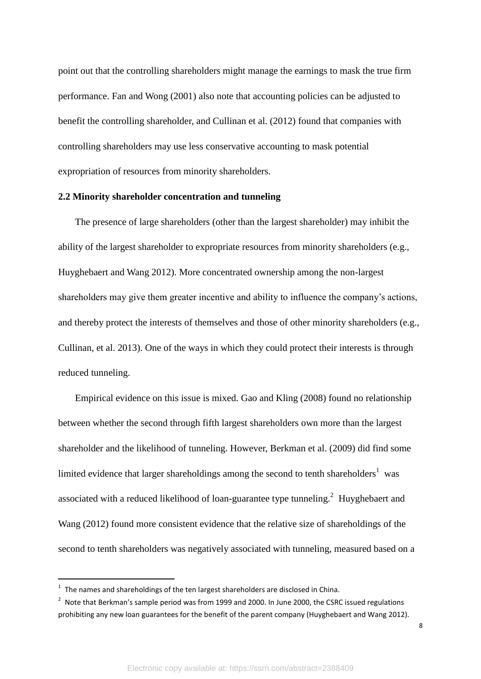point out that the controlling shareholders might manage the earnings to mask the true firm performance. Fan and Wong (2001) also note that accounting policies can be adjusted to benefit the controlling shareholder, and Cullinan et al. (2012) found that companies with controlling shareholders may use less conservative accounting to mask potential expropriation of resources from minority shareholders.

#### **2.2 Minority shareholder concentration and tunneling**

The presence of large shareholders (other than the largest shareholder) may inhibit the ability of the largest shareholder to expropriate resources from minority shareholders (e.g., Huyghebaert and Wang 2012). More concentrated ownership among the non-largest shareholders may give them greater incentive and ability to influence the company's actions, and thereby protect the interests of themselves and those of other minority shareholders (e.g., Cullinan, et al. 2013). One of the ways in which they could protect their interests is through reduced tunneling.

Empirical evidence on this issue is mixed. Gao and Kling (2008) found no relationship between whether the second through fifth largest shareholders own more than the largest shareholder and the likelihood of tunneling. However, Berkman et al. (2009) did find some limited evidence that larger shareholdings among the second to tenth shareholders<sup>1</sup> was associated with a reduced likelihood of loan-guarantee type tunneling.<sup>2</sup> Huyghebaert and Wang (2012) found more consistent evidence that the relative size of shareholdings of the second to tenth shareholders was negatively associated with tunneling, measured based on a

-

 $1$  The names and shareholdings of the ten largest shareholders are disclosed in China.

 $2$  Note that Berkman's sample period was from 1999 and 2000. In June 2000, the CSRC issued regulations prohibiting any new loan guarantees for the benefit of the parent company (Huyghebaert and Wang 2012).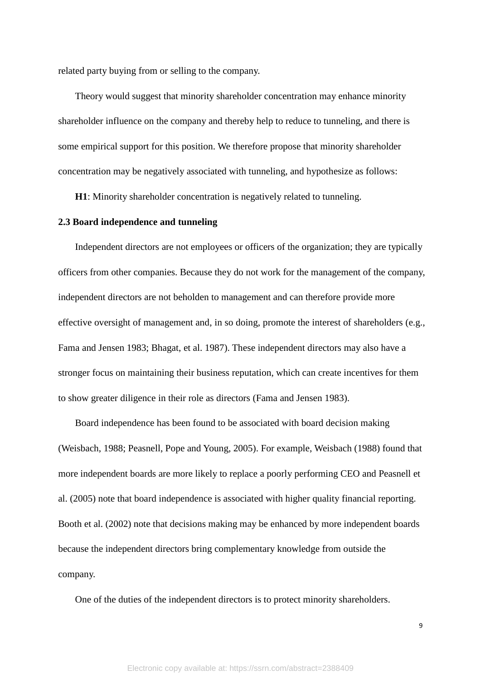related party buying from or selling to the company.

Theory would suggest that minority shareholder concentration may enhance minority shareholder influence on the company and thereby help to reduce to tunneling, and there is some empirical support for this position. We therefore propose that minority shareholder concentration may be negatively associated with tunneling, and hypothesize as follows:

**H1**: Minority shareholder concentration is negatively related to tunneling.

### **2.3 Board independence and tunneling**

Independent directors are not employees or officers of the organization; they are typically officers from other companies. Because they do not work for the management of the company, independent directors are not beholden to management and can therefore provide more effective oversight of management and, in so doing, promote the interest of shareholders (e.g., Fama and Jensen 1983; Bhagat, et al. 1987). These independent directors may also have a stronger focus on maintaining their business reputation, which can create incentives for them to show greater diligence in their role as directors (Fama and Jensen 1983).

Board independence has been found to be associated with board decision making (Weisbach, 1988; Peasnell, Pope and Young, 2005). For example, Weisbach (1988) found that more independent boards are more likely to replace a poorly performing CEO and Peasnell et al. (2005) note that board independence is associated with higher quality financial reporting. Booth et al. (2002) note that decisions making may be enhanced by more independent boards because the independent directors bring complementary knowledge from outside the company.

One of the duties of the independent directors is to protect minority shareholders.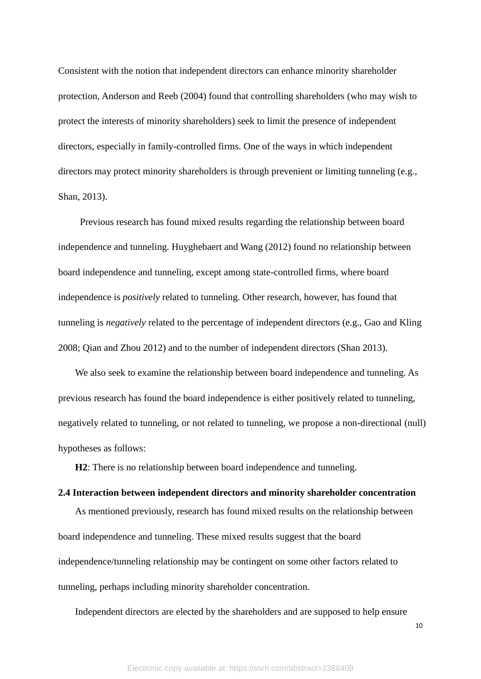Consistent with the notion that independent directors can enhance minority shareholder protection, Anderson and Reeb (2004) found that controlling shareholders (who may wish to protect the interests of minority shareholders) seek to limit the presence of independent directors, especially in family-controlled firms. One of the ways in which independent directors may protect minority shareholders is through prevenient or limiting tunneling (e.g., Shan, 2013).

Previous research has found mixed results regarding the relationship between board independence and tunneling. Huyghebaert and Wang (2012) found no relationship between board independence and tunneling, except among state-controlled firms, where board independence is *positively* related to tunneling. Other research, however, has found that tunneling is *negatively* related to the percentage of independent directors (e.g., Gao and Kling 2008; Qian and Zhou 2012) and to the number of independent directors (Shan 2013).

We also seek to examine the relationship between board independence and tunneling. As previous research has found the board independence is either positively related to tunneling, negatively related to tunneling, or not related to tunneling, we propose a non-directional (null) hypotheses as follows:

**H2**: There is no relationship between board independence and tunneling.

# **2.4 Interaction between independent directors and minority shareholder concentration**

As mentioned previously, research has found mixed results on the relationship between board independence and tunneling. These mixed results suggest that the board independence/tunneling relationship may be contingent on some other factors related to tunneling, perhaps including minority shareholder concentration.

Independent directors are elected by the shareholders and are supposed to help ensure

10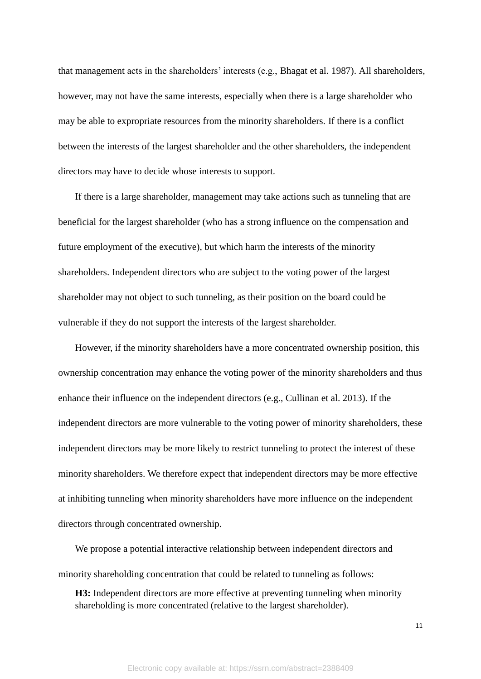that management acts in the shareholders' interests (e.g., Bhagat et al. 1987). All shareholders, however, may not have the same interests, especially when there is a large shareholder who may be able to expropriate resources from the minority shareholders. If there is a conflict between the interests of the largest shareholder and the other shareholders, the independent directors may have to decide whose interests to support.

If there is a large shareholder, management may take actions such as tunneling that are beneficial for the largest shareholder (who has a strong influence on the compensation and future employment of the executive), but which harm the interests of the minority shareholders. Independent directors who are subject to the voting power of the largest shareholder may not object to such tunneling, as their position on the board could be vulnerable if they do not support the interests of the largest shareholder.

However, if the minority shareholders have a more concentrated ownership position, this ownership concentration may enhance the voting power of the minority shareholders and thus enhance their influence on the independent directors (e.g., Cullinan et al. 2013). If the independent directors are more vulnerable to the voting power of minority shareholders, these independent directors may be more likely to restrict tunneling to protect the interest of these minority shareholders. We therefore expect that independent directors may be more effective at inhibiting tunneling when minority shareholders have more influence on the independent directors through concentrated ownership.

We propose a potential interactive relationship between independent directors and minority shareholding concentration that could be related to tunneling as follows:

**H3:** Independent directors are more effective at preventing tunneling when minority shareholding is more concentrated (relative to the largest shareholder).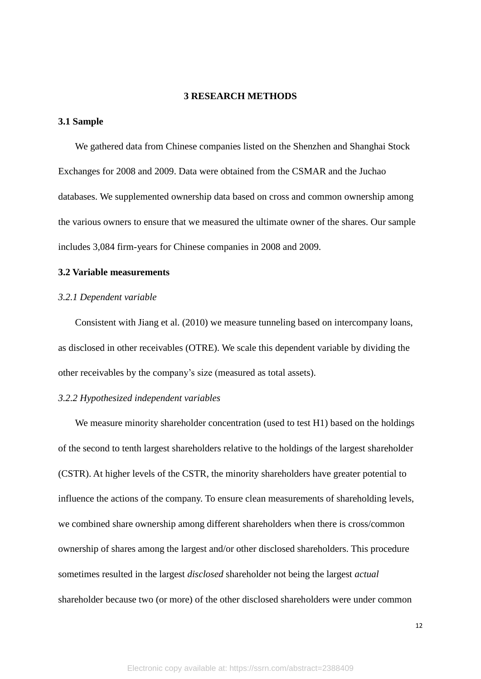#### **3 RESEARCH METHODS**

#### **3.1 Sample**

We gathered data from Chinese companies listed on the Shenzhen and Shanghai Stock Exchanges for 2008 and 2009. Data were obtained from the CSMAR and the Juchao databases. We supplemented ownership data based on cross and common ownership among the various owners to ensure that we measured the ultimate owner of the shares. Our sample includes 3,084 firm-years for Chinese companies in 2008 and 2009.

# **3.2 Variable measurements**

#### *3.2.1 Dependent variable*

Consistent with Jiang et al. (2010) we measure tunneling based on intercompany loans, as disclosed in other receivables (OTRE). We scale this dependent variable by dividing the other receivables by the company's size (measured as total assets).

#### *3.2.2 Hypothesized independent variables*

We measure minority shareholder concentration (used to test H<sub>1</sub>) based on the holdings of the second to tenth largest shareholders relative to the holdings of the largest shareholder (CSTR). At higher levels of the CSTR, the minority shareholders have greater potential to influence the actions of the company. To ensure clean measurements of shareholding levels, we combined share ownership among different shareholders when there is cross/common ownership of shares among the largest and/or other disclosed shareholders. This procedure sometimes resulted in the largest *disclosed* shareholder not being the largest *actual* shareholder because two (or more) of the other disclosed shareholders were under common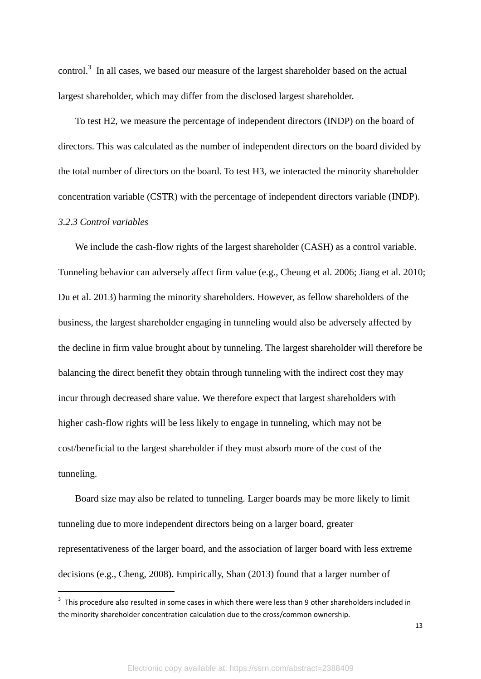control.<sup>3</sup> In all cases, we based our measure of the largest shareholder based on the actual largest shareholder, which may differ from the disclosed largest shareholder.

To test H2, we measure the percentage of independent directors (INDP) on the board of directors. This was calculated as the number of independent directors on the board divided by the total number of directors on the board. To test H3, we interacted the minority shareholder concentration variable (CSTR) with the percentage of independent directors variable (INDP).

# *3.2.3 Control variables*

**.** 

We include the cash-flow rights of the largest shareholder (CASH) as a control variable. Tunneling behavior can adversely affect firm value (e.g., Cheung et al. 2006; Jiang et al. 2010; Du et al. 2013) harming the minority shareholders. However, as fellow shareholders of the business, the largest shareholder engaging in tunneling would also be adversely affected by the decline in firm value brought about by tunneling. The largest shareholder will therefore be balancing the direct benefit they obtain through tunneling with the indirect cost they may incur through decreased share value. We therefore expect that largest shareholders with higher cash-flow rights will be less likely to engage in tunneling, which may not be cost/beneficial to the largest shareholder if they must absorb more of the cost of the tunneling.

Board size may also be related to tunneling. Larger boards may be more likely to limit tunneling due to more independent directors being on a larger board, greater representativeness of the larger board, and the association of larger board with less extreme decisions (e.g., Cheng, 2008). Empirically, Shan (2013) found that a larger number of

 $3$  This procedure also resulted in some cases in which there were less than 9 other shareholders included in the minority shareholder concentration calculation due to the cross/common ownership.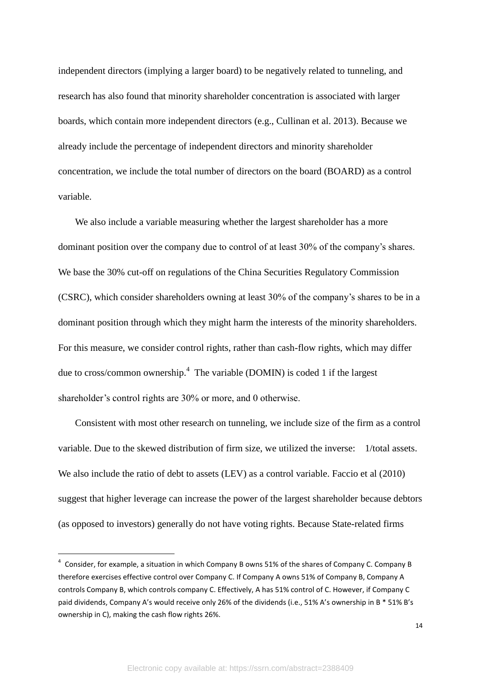independent directors (implying a larger board) to be negatively related to tunneling, and research has also found that minority shareholder concentration is associated with larger boards, which contain more independent directors (e.g., Cullinan et al. 2013). Because we already include the percentage of independent directors and minority shareholder concentration, we include the total number of directors on the board (BOARD) as a control variable.

We also include a variable measuring whether the largest shareholder has a more dominant position over the company due to control of at least 30% of the company's shares. We base the 30% cut-off on regulations of the China Securities Regulatory Commission (CSRC), which consider shareholders owning at least 30% of the company's shares to be in a dominant position through which they might harm the interests of the minority shareholders. For this measure, we consider control rights, rather than cash-flow rights, which may differ due to cross/common ownership.<sup>4</sup> The variable (DOMIN) is coded 1 if the largest shareholder's control rights are 30% or more, and 0 otherwise.

Consistent with most other research on tunneling, we include size of the firm as a control variable. Due to the skewed distribution of firm size, we utilized the inverse: 1/total assets. We also include the ratio of debt to assets (LEV) as a control variable. Faccio et al (2010) suggest that higher leverage can increase the power of the largest shareholder because debtors (as opposed to investors) generally do not have voting rights. Because State-related firms

-

 $^4$  Consider, for example, a situation in which Company B owns 51% of the shares of Company C. Company B therefore exercises effective control over Company C. If Company A owns 51% of Company B, Company A controls Company B, which controls company C. Effectively, A has 51% control of C. However, if Company C paid dividends, Company A's would receive only 26% of the dividends (i.e., 51% A's ownership in B \* 51% B's ownership in C), making the cash flow rights 26%.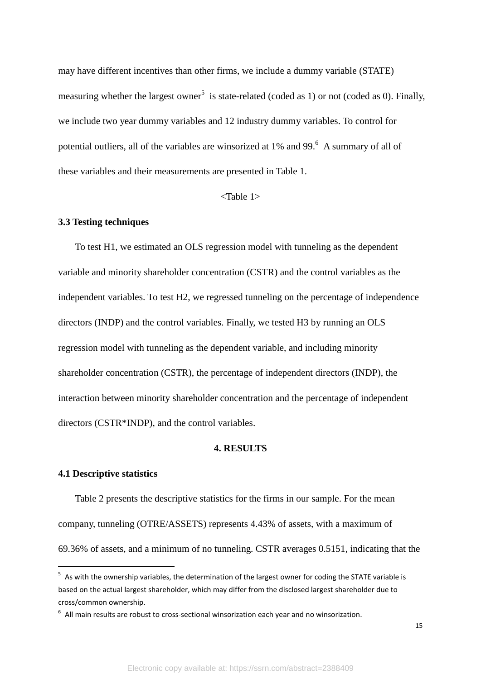may have different incentives than other firms, we include a dummy variable (STATE) measuring whether the largest owner<sup>5</sup> is state-related (coded as 1) or not (coded as 0). Finally, we include two year dummy variables and 12 industry dummy variables. To control for potential outliers, all of the variables are winsorized at 1% and 99.<sup>6</sup> A summary of all of these variables and their measurements are presented in Table 1.

<Table 1>

#### **3.3 Testing techniques**

To test H1, we estimated an OLS regression model with tunneling as the dependent variable and minority shareholder concentration (CSTR) and the control variables as the independent variables. To test H2, we regressed tunneling on the percentage of independence directors (INDP) and the control variables. Finally, we tested H3 by running an OLS regression model with tunneling as the dependent variable, and including minority shareholder concentration (CSTR), the percentage of independent directors (INDP), the interaction between minority shareholder concentration and the percentage of independent directors (CSTR\*INDP), and the control variables.

# **4. RESULTS**

# **4.1 Descriptive statistics**

-

Table 2 presents the descriptive statistics for the firms in our sample. For the mean company, tunneling (OTRE/ASSETS) represents 4.43% of assets, with a maximum of 69.36% of assets, and a minimum of no tunneling. CSTR averages 0.5151, indicating that the

<sup>&</sup>lt;sup>5</sup> As with the ownership variables, the determination of the largest owner for coding the STATE variable is based on the actual largest shareholder, which may differ from the disclosed largest shareholder due to cross/common ownership.

 $6$  All main results are robust to cross-sectional winsorization each year and no winsorization.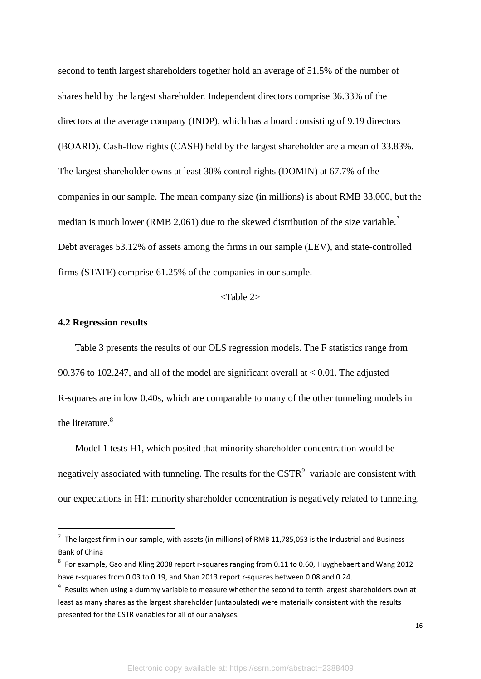second to tenth largest shareholders together hold an average of 51.5% of the number of shares held by the largest shareholder. Independent directors comprise 36.33% of the directors at the average company (INDP), which has a board consisting of 9.19 directors (BOARD). Cash-flow rights (CASH) held by the largest shareholder are a mean of 33.83%. The largest shareholder owns at least 30% control rights (DOMIN) at 67.7% of the companies in our sample. The mean company size (in millions) is about RMB 33,000, but the median is much lower (RMB 2,061) due to the skewed distribution of the size variable.<sup>7</sup> Debt averages 53.12% of assets among the firms in our sample (LEV), and state-controlled firms (STATE) comprise 61.25% of the companies in our sample.

# <Table 2>

# **4.2 Regression results**

-

Table 3 presents the results of our OLS regression models. The F statistics range from 90.376 to 102.247, and all of the model are significant overall at < 0.01. The adjusted R-squares are in low 0.40s, which are comparable to many of the other tunneling models in the literature.<sup>8</sup>

Model 1 tests H1, which posited that minority shareholder concentration would be negatively associated with tunneling. The results for the  $\text{CSTR}^9$  variable are consistent with our expectations in H1: minority shareholder concentration is negatively related to tunneling.

 $^7$  The largest firm in our sample, with assets (in millions) of RMB 11,785,053 is the Industrial and Business Bank of China

 $^8$  For example, Gao and Kling 2008 report r-squares ranging from 0.11 to 0.60, Huyghebaert and Wang 2012 have r-squares from 0.03 to 0.19, and Shan 2013 report r-squares between 0.08 and 0.24.

 $9$  Results when using a dummy variable to measure whether the second to tenth largest shareholders own at least as many shares as the largest shareholder (untabulated) were materially consistent with the results presented for the CSTR variables for all of our analyses.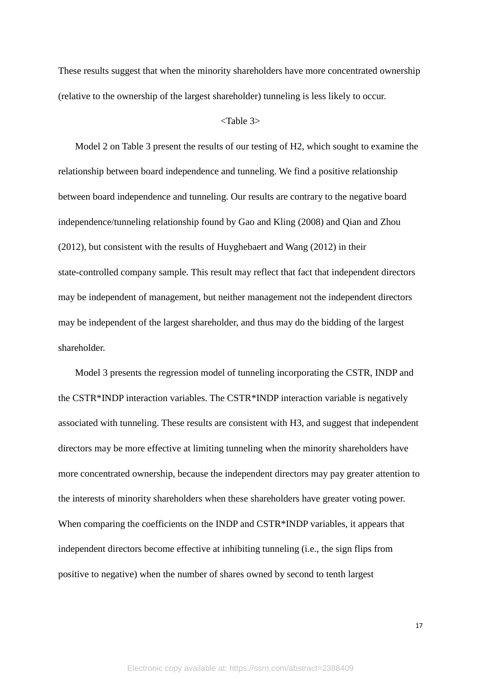These results suggest that when the minority shareholders have more concentrated ownership (relative to the ownership of the largest shareholder) tunneling is less likely to occur.

## <Table 3>

Model 2 on Table 3 present the results of our testing of H2, which sought to examine the relationship between board independence and tunneling. We find a positive relationship between board independence and tunneling. Our results are contrary to the negative board independence/tunneling relationship found by Gao and Kling (2008) and Qian and Zhou (2012), but consistent with the results of Huyghebaert and Wang (2012) in their state-controlled company sample. This result may reflect that fact that independent directors may be independent of management, but neither management not the independent directors may be independent of the largest shareholder, and thus may do the bidding of the largest shareholder.

Model 3 presents the regression model of tunneling incorporating the CSTR, INDP and the CSTR\*INDP interaction variables. The CSTR\*INDP interaction variable is negatively associated with tunneling. These results are consistent with H3, and suggest that independent directors may be more effective at limiting tunneling when the minority shareholders have more concentrated ownership, because the independent directors may pay greater attention to the interests of minority shareholders when these shareholders have greater voting power. When comparing the coefficients on the INDP and CSTR<sup>\*</sup>INDP variables, it appears that independent directors become effective at inhibiting tunneling (i.e., the sign flips from positive to negative) when the number of shares owned by second to tenth largest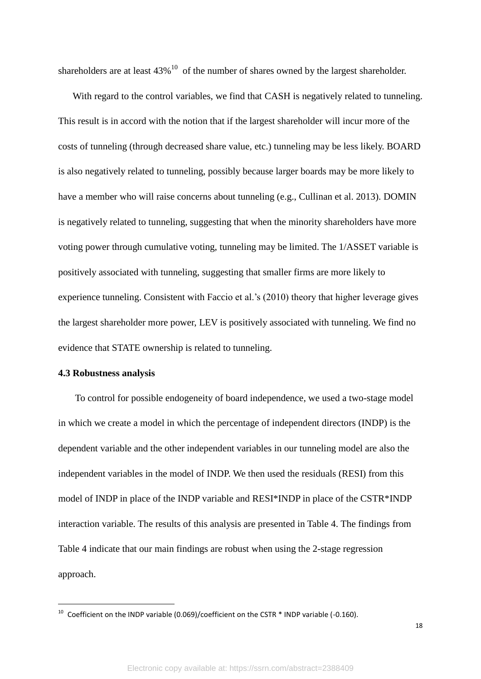shareholders are at least  $43\%$ <sup>10</sup> of the number of shares owned by the largest shareholder.

With regard to the control variables, we find that CASH is negatively related to tunneling. This result is in accord with the notion that if the largest shareholder will incur more of the costs of tunneling (through decreased share value, etc.) tunneling may be less likely. BOARD is also negatively related to tunneling, possibly because larger boards may be more likely to have a member who will raise concerns about tunneling (e.g., Cullinan et al. 2013). DOMIN is negatively related to tunneling, suggesting that when the minority shareholders have more voting power through cumulative voting, tunneling may be limited. The 1/ASSET variable is positively associated with tunneling, suggesting that smaller firms are more likely to experience tunneling. Consistent with Faccio et al.'s (2010) theory that higher leverage gives the largest shareholder more power, LEV is positively associated with tunneling. We find no evidence that STATE ownership is related to tunneling.

#### **4.3 Robustness analysis**

-

To control for possible endogeneity of board independence, we used a two-stage model in which we create a model in which the percentage of independent directors (INDP) is the dependent variable and the other independent variables in our tunneling model are also the independent variables in the model of INDP. We then used the residuals (RESI) from this model of INDP in place of the INDP variable and RESI\*INDP in place of the CSTR\*INDP interaction variable. The results of this analysis are presented in Table 4. The findings from Table 4 indicate that our main findings are robust when using the 2-stage regression approach.

<sup>&</sup>lt;sup>10</sup> Coefficient on the INDP variable (0.069)/coefficient on the CSTR  $*$  INDP variable (-0.160).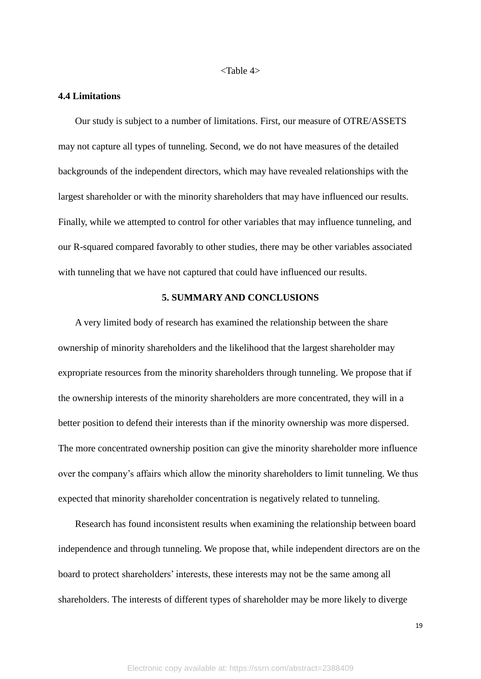#### <Table 4>

#### **4.4 Limitations**

Our study is subject to a number of limitations. First, our measure of OTRE/ASSETS may not capture all types of tunneling. Second, we do not have measures of the detailed backgrounds of the independent directors, which may have revealed relationships with the largest shareholder or with the minority shareholders that may have influenced our results. Finally, while we attempted to control for other variables that may influence tunneling, and our R-squared compared favorably to other studies, there may be other variables associated with tunneling that we have not captured that could have influenced our results.

# **5. SUMMARY AND CONCLUSIONS**

A very limited body of research has examined the relationship between the share ownership of minority shareholders and the likelihood that the largest shareholder may expropriate resources from the minority shareholders through tunneling. We propose that if the ownership interests of the minority shareholders are more concentrated, they will in a better position to defend their interests than if the minority ownership was more dispersed. The more concentrated ownership position can give the minority shareholder more influence over the company's affairs which allow the minority shareholders to limit tunneling. We thus expected that minority shareholder concentration is negatively related to tunneling.

Research has found inconsistent results when examining the relationship between board independence and through tunneling. We propose that, while independent directors are on the board to protect shareholders' interests, these interests may not be the same among all shareholders. The interests of different types of shareholder may be more likely to diverge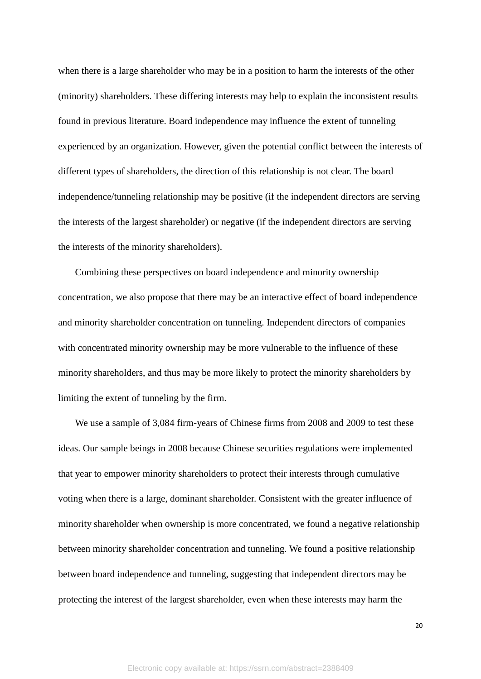when there is a large shareholder who may be in a position to harm the interests of the other (minority) shareholders. These differing interests may help to explain the inconsistent results found in previous literature. Board independence may influence the extent of tunneling experienced by an organization. However, given the potential conflict between the interests of different types of shareholders, the direction of this relationship is not clear. The board independence/tunneling relationship may be positive (if the independent directors are serving the interests of the largest shareholder) or negative (if the independent directors are serving the interests of the minority shareholders).

Combining these perspectives on board independence and minority ownership concentration, we also propose that there may be an interactive effect of board independence and minority shareholder concentration on tunneling. Independent directors of companies with concentrated minority ownership may be more vulnerable to the influence of these minority shareholders, and thus may be more likely to protect the minority shareholders by limiting the extent of tunneling by the firm.

We use a sample of 3,084 firm-years of Chinese firms from 2008 and 2009 to test these ideas. Our sample beings in 2008 because Chinese securities regulations were implemented that year to empower minority shareholders to protect their interests through cumulative voting when there is a large, dominant shareholder. Consistent with the greater influence of minority shareholder when ownership is more concentrated, we found a negative relationship between minority shareholder concentration and tunneling. We found a positive relationship between board independence and tunneling, suggesting that independent directors may be protecting the interest of the largest shareholder, even when these interests may harm the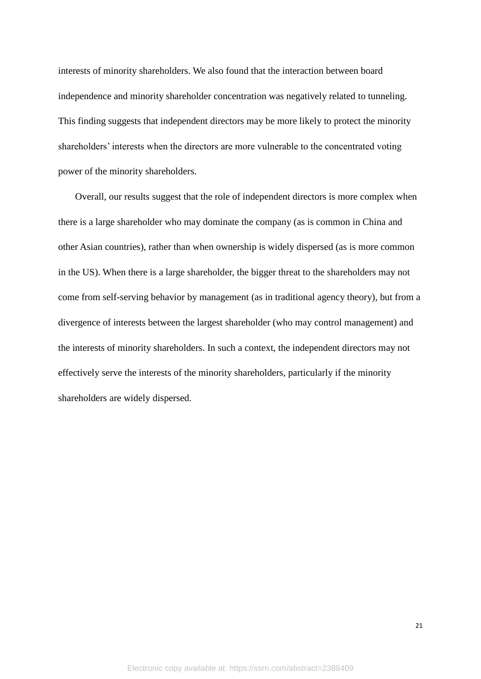interests of minority shareholders. We also found that the interaction between board independence and minority shareholder concentration was negatively related to tunneling. This finding suggests that independent directors may be more likely to protect the minority shareholders' interests when the directors are more vulnerable to the concentrated voting power of the minority shareholders.

Overall, our results suggest that the role of independent directors is more complex when there is a large shareholder who may dominate the company (as is common in China and other Asian countries), rather than when ownership is widely dispersed (as is more common in the US). When there is a large shareholder, the bigger threat to the shareholders may not come from self-serving behavior by management (as in traditional agency theory), but from a divergence of interests between the largest shareholder (who may control management) and the interests of minority shareholders. In such a context, the independent directors may not effectively serve the interests of the minority shareholders, particularly if the minority shareholders are widely dispersed.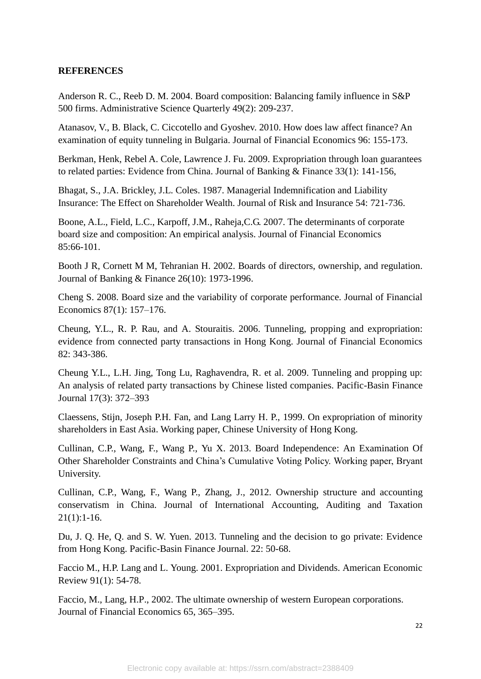# **REFERENCES**

Anderson R. C., Reeb D. M. 2004. Board composition: Balancing family influence in S&P 500 firms. Administrative Science Quarterly 49(2): 209-237.

Atanasov, V., B. Black, C. Ciccotello and Gyoshev. 2010. How does law affect finance? An examination of equity tunneling in Bulgaria. Journal of Financial Economics 96: 155-173.

Berkman, Henk, Rebel A. Cole, Lawrence J. Fu. 2009. Expropriation through loan guarantees to related parties: Evidence from China. Journal of Banking & Finance 33(1): 141-156,

Bhagat, S., J.A. Brickley, J.L. Coles. 1987. Managerial Indemnification and Liability Insurance: The Effect on Shareholder Wealth. Journal of Risk and Insurance 54: 721‐736.

Boone, A.L., Field, L.C., Karpoff, J.M., Raheja,C.G. 2007. The determinants of corporate board size and composition: An empirical analysis. Journal of Financial Economics 85:66-101.

Booth J R, Cornett M M, Tehranian H. 2002. Boards of directors, ownership, and regulation. Journal of Banking & Finance 26(10): 1973-1996.

Cheng S. 2008. Board size and the variability of corporate performance. Journal of Financial Economics 87(1): 157–176.

Cheung, Y.L., R. P. Rau, and A. Stouraitis. 2006. Tunneling, propping and expropriation: evidence from connected party transactions in Hong Kong. Journal of Financial Economics 82: 343-386.

Cheung Y.L., L.H. Jing, Tong Lu, Raghavendra, R. et al. 2009. Tunneling and propping up: An analysis of related party transactions by Chinese listed companies. Pacific-Basin Finance Journal 17(3): 372–393

Claessens, Stijn, Joseph P.H. Fan, and Lang Larry H. P., 1999. On expropriation of minority shareholders in East Asia. Working paper, Chinese University of Hong Kong.

Cullinan, C.P., Wang, F., Wang P., Yu X. 2013. Board Independence: An Examination Of Other Shareholder Constraints and China's Cumulative Voting Policy. Working paper, Bryant University.

Cullinan, C.P., Wang, F., Wang P., Zhang, J., 2012. Ownership structure and accounting conservatism in China. Journal of International Accounting, Auditing and Taxation  $21(1):1-16.$ 

Du, J. Q. He, Q. and S. W. Yuen. 2013. Tunneling and the decision to go private: Evidence from Hong Kong. Pacific-Basin Finance Journal. 22: 50-68.

Faccio M., H.P. Lang and L. Young. 2001. Expropriation and Dividends. American Economic Review 91(1): 54-78.

Faccio, M., Lang, H.P., 2002. The ultimate ownership of western European corporations. Journal of Financial Economics 65, 365–395.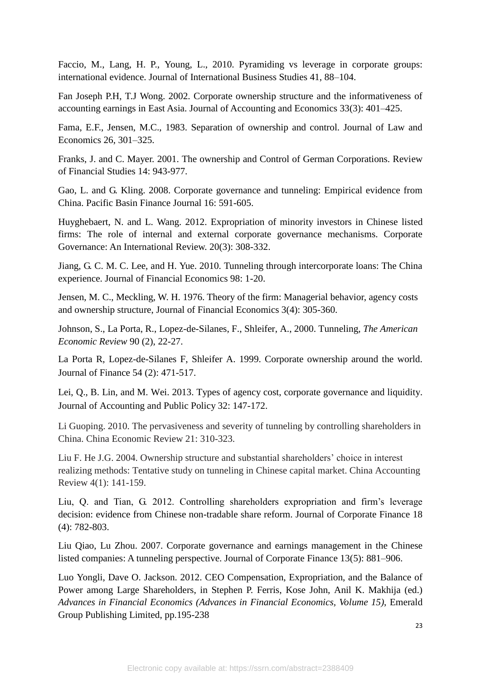Faccio, M., Lang, H. P., Young, L., 2010. Pyramiding vs leverage in corporate groups: international evidence. Journal of International Business Studies 41, 88–104.

Fan Joseph P.H, T.J Wong. 2002. Corporate ownership structure and the informativeness of accounting earnings in East Asia. Journal of Accounting and Economics 33(3): 401–425.

Fama, E.F., Jensen, M.C., 1983. Separation of ownership and control. Journal of Law and Economics 26, 301–325.

Franks, J. and C. Mayer. 2001. The ownership and Control of German Corporations. Review of Financial Studies 14: 943-977.

Gao, L. and G. Kling. 2008. Corporate governance and tunneling: Empirical evidence from China. Pacific Basin Finance Journal 16: 591-605.

Huyghebaert, N. and L. Wang. 2012. Expropriation of minority investors in Chinese listed firms: The role of internal and external corporate governance mechanisms. Corporate Governance: An International Review. 20(3): 308-332.

Jiang, G. C. M. C. Lee, and H. Yue. 2010. Tunneling through intercorporate loans: The China experience. Journal of Financial Economics 98: 1-20.

Jensen, M. C., Meckling, W. H. 1976. Theory of the firm: Managerial behavior, agency costs and ownership structure, Journal of Financial Economics 3(4): 305-360.

Johnson, S., La Porta, R., Lopez-de-Silanes, F., Shleifer, A., 2000. Tunneling, *The American Economic Review* 90 (2), 22-27.

La Porta R, Lopez-de-Silanes F, Shleifer A. 1999. Corporate ownership around the world. Journal of Finance 54 (2): 471-517.

Lei, Q., B. Lin, and M. Wei. 2013. Types of agency cost, corporate governance and liquidity. Journal of Accounting and Public Policy 32: 147-172.

Li Guoping. 2010. The pervasiveness and severity of tunneling by controlling shareholders in China. China Economic Review 21: 310-323.

Liu F. He J.G. 2004. Ownership structure and substantial shareholders' choice in interest realizing methods: Tentative study on tunneling in Chinese capital market. China Accounting Review 4(1): 141-159.

Liu, Q. and Tian, G. 2012. Controlling shareholders expropriation and firm's leverage decision: evidence from Chinese non-tradable share reform. Journal of Corporate Finance 18 (4): 782-803.

Liu Qiao, Lu Zhou. 2007. Corporate governance and earnings management in the Chinese listed companies: A tunneling perspective. Journal of Corporate Finance 13(5): 881–906.

Luo Yongli, Dave O. Jackson. 2012. CEO Compensation, Expropriation, and the Balance of Power among Large Shareholders, in Stephen P. Ferris, Kose John, Anil K. Makhija (ed.) *Advances in Financial Economics (Advances in Financial Economics, Volume 15)*, Emerald Group Publishing Limited, pp.195-238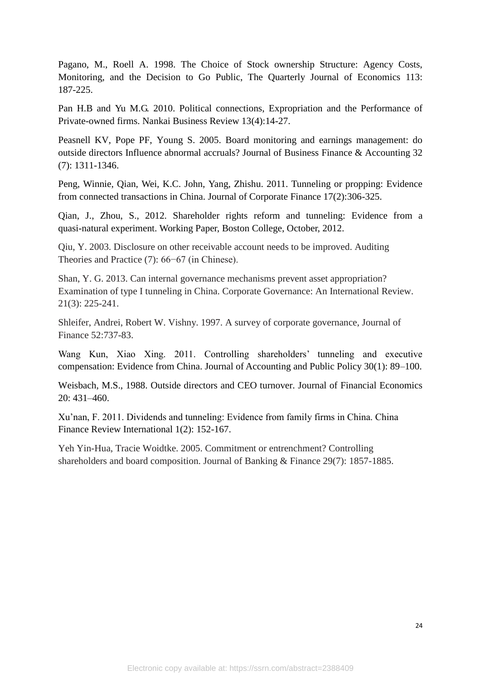Pagano, M., Roell A. 1998. The Choice of Stock ownership Structure: Agency Costs, Monitoring, and the Decision to Go Public, The Quarterly Journal of Economics 113: 187-225.

Pan H.B and Yu M.G. 2010. Political connections, Expropriation and the Performance of Private-owned firms. Nankai Business Review 13(4):14-27.

Peasnell KV, Pope PF, Young S. 2005. Board monitoring and earnings management: do outside directors Influence abnormal accruals? Journal of Business Finance & Accounting 32 (7): 1311-1346.

Peng, Winnie, Qian, Wei, K.C. John, Yang, Zhishu. 2011. Tunneling or propping: Evidence from connected transactions in China. Journal of Corporate Finance 17(2):306-325.

Qian, J., Zhou, S., 2012. Shareholder rights reform and tunneling: Evidence from a quasi-natural experiment. Working Paper, Boston College, October, 2012.

Qiu, Y. 2003. Disclosure on other receivable account needs to be improved. Auditing Theories and Practice (7): 66−67 (in Chinese).

Shan, Y. G. 2013. Can internal governance mechanisms prevent asset appropriation? Examination of type I tunneling in China. Corporate Governance: An International Review. 21(3): 225-241.

Shleifer, Andrei, Robert W. Vishny. 1997. A survey of corporate governance, Journal of Finance 52:737-83.

Wang Kun, Xiao Xing. 2011. Controlling shareholders' tunneling and executive compensation: Evidence from China. Journal of Accounting and Public Policy 30(1): 89–100.

Weisbach, M.S., 1988. Outside directors and CEO turnover. Journal of Financial Economics 20: 431–460.

Xu'nan, F. 2011. Dividends and tunneling: Evidence from family firms in China. China Finance Review International 1(2): 152-167.

Yeh Yin-Hua, Tracie Woidtke. 2005. Commitment or entrenchment? Controlling shareholders and board composition. Journal of Banking & Finance 29(7): 1857-1885.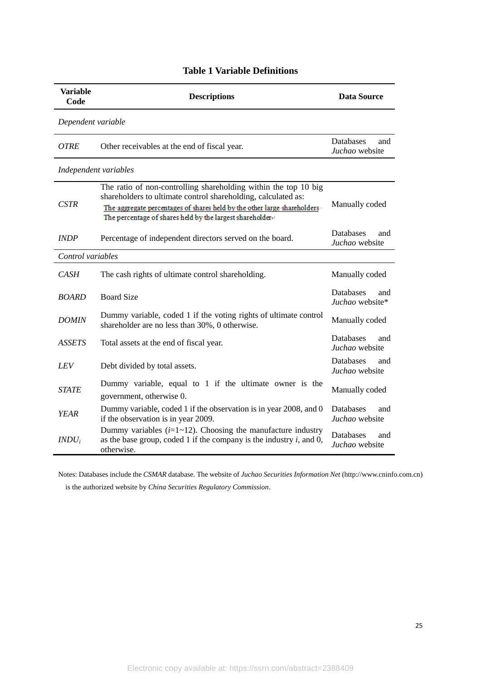| <b>Variable</b><br>Code | <b>Descriptions</b>                                                                                                                                                                                                                                                        | Data Source                               |  |  |  |  |  |
|-------------------------|----------------------------------------------------------------------------------------------------------------------------------------------------------------------------------------------------------------------------------------------------------------------------|-------------------------------------------|--|--|--|--|--|
| Dependent variable      |                                                                                                                                                                                                                                                                            |                                           |  |  |  |  |  |
| <b>OTRE</b>             | Other receivables at the end of fiscal year.                                                                                                                                                                                                                               | <b>Databases</b><br>and<br>Juchao website |  |  |  |  |  |
|                         | Independent variables                                                                                                                                                                                                                                                      |                                           |  |  |  |  |  |
| <b>CSTR</b>             | The ratio of non-controlling shareholding within the top 10 big<br>shareholders to ultimate control shareholding, calculated as:<br>The aggregate percentages of shares held by the other large shareholders.<br>The percentage of shares held by the largest shareholder+ | Manually coded                            |  |  |  |  |  |
| <b>INDP</b>             | Percentage of independent directors served on the board.                                                                                                                                                                                                                   | <b>Databases</b><br>and<br>Juchao website |  |  |  |  |  |
| Control variables       |                                                                                                                                                                                                                                                                            |                                           |  |  |  |  |  |
| CASH                    | The cash rights of ultimate control shareholding.                                                                                                                                                                                                                          | Manually coded                            |  |  |  |  |  |
| <b>BOARD</b>            | <b>Board Size</b>                                                                                                                                                                                                                                                          | Databases<br>and<br>Juchao website*       |  |  |  |  |  |
| <b>DOMIN</b>            | Dummy variable, coded 1 if the voting rights of ultimate control<br>shareholder are no less than 30%, 0 otherwise.                                                                                                                                                         | Manually coded                            |  |  |  |  |  |
| <b>ASSETS</b>           | Total assets at the end of fiscal year.                                                                                                                                                                                                                                    | <b>Databases</b><br>and<br>Juchao website |  |  |  |  |  |
| LEV                     | Debt divided by total assets.                                                                                                                                                                                                                                              | Databases<br>and<br>Juchao website        |  |  |  |  |  |
| <b>STATE</b>            | Dummy variable, equal to 1 if the ultimate owner is the<br>government, otherwise 0.                                                                                                                                                                                        | Manually coded                            |  |  |  |  |  |
| <b>YEAR</b>             | Dummy variable, coded 1 if the observation is in year 2008, and 0<br>if the observation is in year 2009.                                                                                                                                                                   | Databases<br>and<br>Juchao website        |  |  |  |  |  |
| $INDU_i$                | Dummy variables $(i=1-12)$ . Choosing the manufacture industry<br>as the base group, coded 1 if the company is the industry $i$ , and 0,<br>otherwise.                                                                                                                     | <b>Databases</b><br>and<br>Juchao website |  |  |  |  |  |

# **Table 1 Variable Definitions**

Notes: Databases include the *CSMAR* database. The website of *Juchao Securities Information Net* (http://www.cninfo.com.cn) is the authorized website by *China Securities Regulatory Commission*.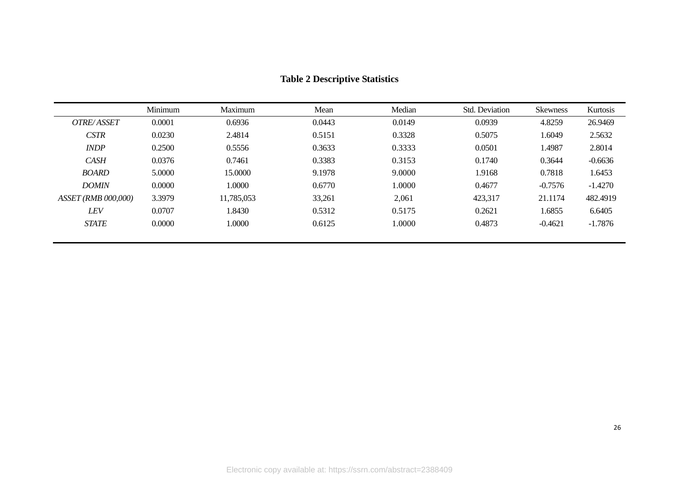|                     | Minimum | Maximum    | Mean   | Median | Std. Deviation | <b>Skewness</b> | Kurtosis  |
|---------------------|---------|------------|--------|--------|----------------|-----------------|-----------|
| OTRE/ASSET          | 0.0001  | 0.6936     | 0.0443 | 0.0149 | 0.0939         | 4.8259          | 26.9469   |
| <b>CSTR</b>         | 0.0230  | 2.4814     | 0.5151 | 0.3328 | 0.5075         | 1.6049          | 2.5632    |
| <b>INDP</b>         | 0.2500  | 0.5556     | 0.3633 | 0.3333 | 0.0501         | 1.4987          | 2.8014    |
| <b>CASH</b>         | 0.0376  | 0.7461     | 0.3383 | 0.3153 | 0.1740         | 0.3644          | $-0.6636$ |
| <b>BOARD</b>        | 5.0000  | 15.0000    | 9.1978 | 9.0000 | 1.9168         | 0.7818          | 1.6453    |
| <b>DOMIN</b>        | 0.0000  | 1.0000     | 0.6770 | 0000.1 | 0.4677         | $-0.7576$       | $-1.4270$ |
| ASSET (RMB 000,000) | 3.3979  | 11,785,053 | 33,261 | 2,061  | 423,317        | 21.1174         | 482.4919  |
| <b>LEV</b>          | 0.0707  | 1.8430     | 0.5312 | 0.5175 | 0.2621         | 1.6855          | 6.6405    |
| <b>STATE</b>        | 0.0000  | 1.0000     | 0.6125 | 0000.  | 0.4873         | $-0.4621$       | $-1.7876$ |
|                     |         |            |        |        |                |                 |           |

# **Table 2 Descriptive Statistics**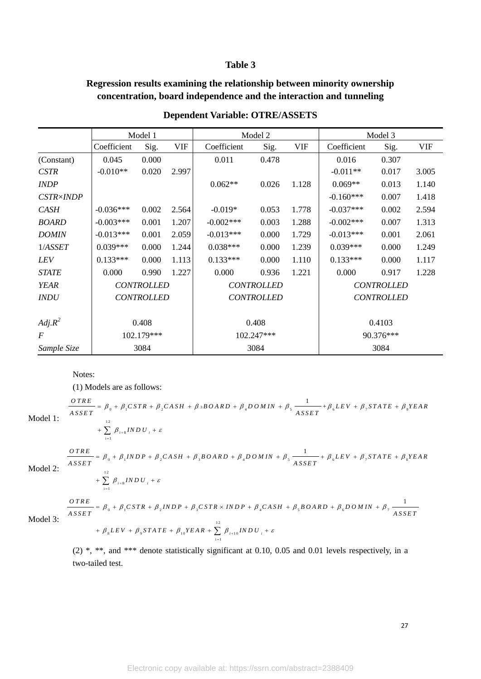#### **Table 3**

# **Regression results examining the relationship between minority ownership concentration, board independence and the interaction and tunneling**

|                  | Model 1           |       |                   | Model 2     |       |                   | Model 3     |       |            |
|------------------|-------------------|-------|-------------------|-------------|-------|-------------------|-------------|-------|------------|
|                  | Coefficient       | Sig.  | <b>VIF</b>        | Coefficient | Sig.  | <b>VIF</b>        | Coefficient | Sig.  | <b>VIF</b> |
| (Constant)       | 0.045             | 0.000 |                   | 0.011       | 0.478 |                   | 0.016       | 0.307 |            |
| <b>CSTR</b>      | $-0.010**$        | 0.020 | 2.997             |             |       |                   | $-0.011**$  | 0.017 | 3.005      |
| <b>INDP</b>      |                   |       |                   | $0.062**$   | 0.026 | 1.128             | $0.069**$   | 0.013 | 1.140      |
| <b>CSTR×INDP</b> |                   |       |                   |             |       |                   | $-0.160***$ | 0.007 | 1.418      |
| <b>CASH</b>      | $-0.036***$       | 0.002 | 2.564             | $-0.019*$   | 0.053 | 1.778             | $-0.037***$ | 0.002 | 2.594      |
| <b>BOARD</b>     | $-0.003***$       | 0.001 | 1.207             | $-0.002***$ | 0.003 | 1.288             | $-0.002***$ | 0.007 | 1.313      |
| <b>DOMIN</b>     | $-0.013***$       | 0.001 | 2.059             | $-0.013***$ | 0.000 | 1.729             | $-0.013***$ | 0.001 | 2.061      |
| 1/ASSET          | $0.039***$        | 0.000 | 1.244             | $0.038***$  | 0.000 | 1.239             | $0.039***$  | 0.000 | 1.249      |
| LEV              | $0.133***$        | 0.000 | 1.113             | $0.133***$  | 0.000 | 1.110             | $0.133***$  | 0.000 | 1.117      |
| <b>STATE</b>     | 0.000             | 0.990 | 1.227             | 0.000       | 0.936 | 1.221             | 0.000       | 0.917 | 1.228      |
| <b>YEAR</b>      | <b>CONTROLLED</b> |       | <b>CONTROLLED</b> |             |       | <b>CONTROLLED</b> |             |       |            |
| INDU             | <b>CONTROLLED</b> |       | <b>CONTROLLED</b> |             |       | <b>CONTROLLED</b> |             |       |            |
|                  |                   |       |                   |             |       |                   |             |       |            |
| $Adj.R^2$        | 0.408             |       | 0.408             |             |       | 0.4103            |             |       |            |
| $\overline{F}$   | 102.179***        |       | 102.247***        |             |       | 90.376***         |             |       |            |
| Sample Size      | 3084              |       |                   | 3084        |       |                   | 3084        |       |            |

# **Dependent Variable: OTRE/ASSETS**

Notes:

(1) Models are as follows:  $\theta_0 + \beta_1 \text{CSTR} + \beta_2 \text{CASH} + \beta_3 \text{B OARD} + \beta_4 \text{D O MIN} + \beta_5 \frac{1}{\text{ASSET}} + \beta_6 \text{LEV} + \beta_7 \text{STATE} + \beta_8$ Notes:<br>
(1) Models are as follows:<br>  $\frac{OTRE}{ASSET} = \beta_0 + \beta_1 CSTR + \beta_2 CASH + \beta_3 B OARD + \beta_4 D O MIN + \beta_5 \frac{1}{ASSET} + \beta_6 LEV + \beta_7 STATE + \beta_8 YEAR$ (1) Models are as follows:<br>  $\frac{OTRE}{ASSET} = \beta_0 + \beta_1 CSTR + \beta_2 CASH + \beta_3 B OARD + \beta_4 D O MIN + \beta_5 \frac{1}{ASSET}$ ls are as follows:<br>  $\beta_0 + \beta_1 CSTR + \beta_2 CASH + \beta_3 B OARD + \beta_4 D O MIN + \beta_5 \frac{1}{ASSET} + \beta_6 LEV + \beta_7 STATE + \beta_8 YEAR$ dels are as follows:<br>=  $\beta_0 + \beta_1 CSTR + \beta_2 CASH + \beta_3 B OARD + \beta_4 D O MIN + \beta_5 \frac{1}{ASSET} + \beta_6 LEV + \beta_7 STATE + \beta_8 VEAR$ 

Model 1:

$$
\frac{OTRE}{ASSET} = \beta_0 + \beta_1 CSTR + \beta_2 CASH + \beta_3 BOARD + \beta_4 DOMIN + \beta_5 \frac{1}{ASSET} + \beta_6 LEV + \beta_7 STATE + \beta_8 YEAR
$$
  
+ 
$$
\sum_{i=1}^{12} \beta_{i+8} INDU_i + \varepsilon
$$
  

$$
\frac{OTRE}{ASSET} = \beta_0 + \beta_1 INDP + \beta_2 CASH + \beta_3 BOARD + \beta_4 DOMIN + \beta_5 \frac{1}{ASSET} + \beta_6 LEV + \beta_7 STATE + \beta_8 YEAR
$$

Model 2:

$$
= \beta_0 + \beta_1 INDP + \beta_2 CASH + \beta_3 I
$$
  
+ 
$$
\sum_{i=1}^{12} \beta_{i+s} INDU_i + \varepsilon
$$

Model 2:  
\n
$$
+\sum_{i=1}^{12} \beta_{i+8} IND U_i + \varepsilon
$$
\n
$$
\frac{OTRE}{ASSET} = \beta_0 + \beta_1 CSTR + \beta_2 INDP + \beta_3 CSTR \times INDP + \beta_4 CASH + \beta_5 BOARD + \beta_6 DOMIN + \beta_7 \frac{1}{ASSET} + \beta_8 LEV + \beta_9 STATE + \beta_{10} YEAR + \sum_{i=1}^{12} \beta_{i+10} IND U_i + \varepsilon
$$

3

(2) \*, \*\*, and \*\*\* denote statistically significant at 0.10, 0.05 and 0.01 levels respectively, in a two-tailed test.

 $\beta_0 + \beta_1 INDP + \beta_2 CASH + \beta_3 BOARD + \beta_4 DOMIN + \beta_5 \frac{1}{ASSET} + \beta_6 LEV + \beta_7 STATE + \beta_8$ 

 $\frac{1}{\sqrt{1-\frac{1}{\sqrt{1-\frac{1}{\sqrt{1-\frac{1}{\sqrt{1-\frac{1}{\sqrt{1-\frac{1}{\sqrt{1-\frac{1}{\sqrt{1-\frac{1}{\sqrt{1-\frac{1}{\sqrt{1-\frac{1}{\sqrt{1-\frac{1}{\sqrt{1-\frac{1}{\sqrt{1-\frac{1}{\sqrt{1-\frac{1}{\sqrt{1-\frac{1}{\sqrt{1-\frac{1}{\sqrt{1-\frac{1}{\sqrt{1-\frac{1}{\sqrt{1-\frac{1}{\sqrt{1-\frac{1}{\sqrt{1-\frac{1}{\sqrt{1-\frac{1}{\sqrt{1-\frac{1}{\sqrt{1-\frac{1}{\sqrt{1-\frac{1$ 

1

27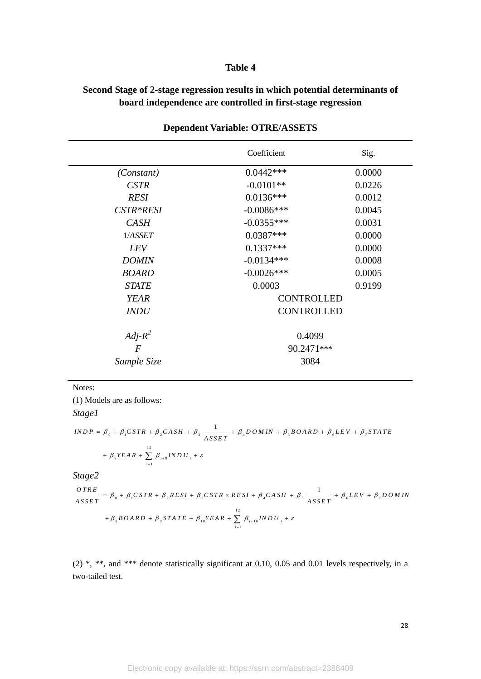# **Table 4**

# **Second Stage of 2-stage regression results in which potential determinants of board independence are controlled in first-stage regression**

|                | Coefficient       | Sig.   |  |  |  |
|----------------|-------------------|--------|--|--|--|
| (Constant)     | $0.0442***$       | 0.0000 |  |  |  |
| <b>CSTR</b>    | $-0.0101**$       | 0.0226 |  |  |  |
| <b>RESI</b>    | $0.0136***$       | 0.0012 |  |  |  |
| CSTR*RESI      | $-0.0086***$      | 0.0045 |  |  |  |
| <b>CASH</b>    | $-0.0355***$      | 0.0031 |  |  |  |
| 1/ASSET        | $0.0387***$       | 0.0000 |  |  |  |
| <i>LEV</i>     | $0.1337***$       | 0.0000 |  |  |  |
| <b>DOMIN</b>   | $-0.0134***$      | 0.0008 |  |  |  |
| <b>BOARD</b>   | $-0.0026$ ***     | 0.0005 |  |  |  |
| <b>STATE</b>   | 0.0003            | 0.9199 |  |  |  |
| <b>YEAR</b>    | <b>CONTROLLED</b> |        |  |  |  |
| <b>INDU</b>    | <b>CONTROLLED</b> |        |  |  |  |
| $Adj-R^2$      | 0.4099            |        |  |  |  |
| $\overline{F}$ | 90.2471***        |        |  |  |  |
| Sample Size    | 3084              |        |  |  |  |

#### **Dependent Variable: OTRE/ASSETS**

#### Notes:

(1) Models are as follows: *Stage1*

 $\beta_0 + \beta_1 \text{CSTR} + \beta_2 \text{CASH} + \beta_3 \frac{1}{\text{ASSET}} + \beta_4 \text{DOMIN} + \beta_5 \text{BOARD} + \beta_6 \text{LEV} + \beta_7$  $\begin{array}{c} + \\ 12 \end{array}$ +  $\beta_1 \text{C} \text{STR} + \beta_2 \text{C} \text{ASH} +$ <br>  $\sum_{s=1}^{12} \beta_{i+s} \text{IND} U_{is}$ *I INDP* =  $\beta_0$  +  $\beta_1$  *CSTR* +  $\beta_2$  *CASH* +  $\beta_3$   $\frac{1}{ASSET}$  +  $\beta_4$  *D OM IN* +  $\beta_5$  *B O ARD* +  $\beta_6$  *LEV* +  $\beta_7$  *STATE A S S E T*  $\beta_0 + \beta_1 \text{C} \text{S} \text{T} \text{R} + \beta_2 \text{C} \text{A} \text{S} \text{H} + \beta_3 \frac{1}{\text{A} \text{S} \text{S} \text{E} \text{T}} + \beta_4 \text{D} \text{O} \text{M} \text{I} \text{N} + \beta_5 \text{B} \text{O} \text{A} \text{R} \text{D} + \beta_6 \text{L} \text{E} \text{V} + \beta_7 \text{S} \text{T} \text{A} \text{T} \text{E}$  $\beta_0 + \beta_1 CSTR + \beta_2 CASH + \beta_3 \frac{1}{ASSET} + \beta_4$ <br> $\beta_8 YEAR + \sum_{i=1}^{12} \beta_{i+8} INDU_i + \varepsilon$ The distribution of  $\beta_0 + \beta_1 \text{CSTR} + \beta_2 \text{CASH} + \beta_3 \frac{1}{ASSET} + \beta_4 \text{DOMIN} + \beta_5 \text{BOARD} + \beta_6 \text{LEV} + \beta_7 \text{STATE}$  $\beta_0 + \beta_1 CSTR + \beta_2 CASH + \beta_3 \frac{1}{ASSET}$ <br>+  $\beta_8 YEAR + \sum_{i=1}^{12} \beta_{i+8} INDU_i + \varepsilon$ 

*Stage2*

$$
Stage2
$$
\n
$$
\frac{OTRE}{ASSET} = \beta_0 + \beta_1 CSTR + \beta_2 RESI + \beta_3 CSTR \times RESI + \beta_4 CASH + \beta_5 \frac{1}{ASSET} + \beta_6 LEV + \beta_7 DOMIN
$$
\n
$$
+ \beta_8 BOARD + \beta_9 STATE + \beta_{10} YEAR + \sum_{i=1}^{12} \beta_{i+10} INDU_i + \varepsilon
$$

(2) \*, \*\*, and \*\*\* denote statistically significant at 0.10, 0.05 and 0.01 levels respectively, in a two-tailed test.